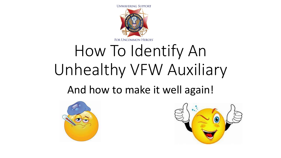

# How To Identify An Unhealthy VFW Auxiliary

#### And how to make it well again!



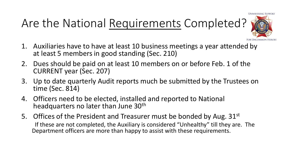**UNWAVERING SUPPOR** 

### Are the National Requirements Completed?



- 1. Auxiliaries have to have at least 10 business meetings a year attended by at least 5 members in good standing (Sec. 210)
- 2. Dues should be paid on at least 10 members on or before Feb. 1 of the CURRENT year (Sec. 207)
- 3. Up to date quarterly Audit reports much be submitted by the Trustees on time (Sec. 814)
- 4. Officers need to be elected, installed and reported to National headquarters no later than June 30<sup>th</sup>
- 5. Offices of the President and Treasurer must be bonded by Aug.  $31<sup>st</sup>$ If these are not completed, the Auxiliary is considered "Unhealthy" till they are. The Department officers are more than happy to assist with these requirements.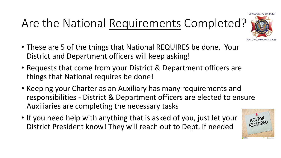# Are the National Requirements Completed?

- **UNWAVERING SUPPOI**
- These are 5 of the things that National REQUIRES be done. Your District and Department officers will keep asking!
- Requests that come from your District & Department officers are things that National requires be done!
- Keeping your Charter as an Auxiliary has many requirements and responsibilities - District & Department officers are elected to ensure Auxiliaries are completing the necessary tasks
- If you need help with anything that is asked of you, just let your District President know! They will reach out to Dept. if needed

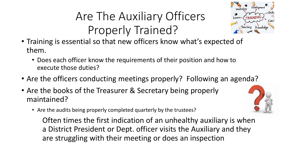# Are The Auxiliary Officers Properly Trained?



- Training is essential so that new officers know what's expected of them.
	- Does each officer know the requirements of their position and how to execute those duties?
- Are the officers conducting meetings properly? Following an agenda?
- Are the books of the Treasurer & Secretary being properly maintained?
	- Are the audits being properly completed quarterly by the trustees?

Often times the first indication of an unhealthy auxiliary is when a District President or Dept. officer visits the Auxiliary and they are struggling with their meeting or does an inspection

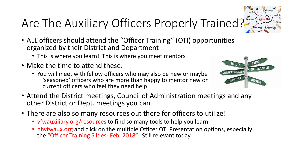

# Are The Auxiliary Officers Properly Trained?

- ALL officers should attend the "Officer Training" (OTI) opportunities organized by their District and Department
	- This is where you learn! This is where you meet mentors
- Make the time to attend these.
	- You will meet with fellow officers who may also be new or maybe 'seasoned' officers who are more than happy to mentor new or current officers who feel they need help



- Attend the District meetings, Council of Administration meetings and any other District or Dept. meetings you can.
- There are also so many resources out there for officers to utilize!
	- vfwauxiliary.org/resources to find so many tools to help you learn
	- nhyfwaux.org and click on the multiple Officer OTI Presentation options, especially the "Officer Training Slides- Feb. 2018". Still relevant today.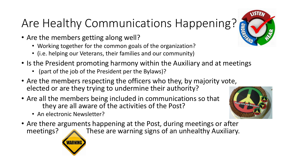# Are Healthy Communications Happening?

- Are the members getting along well?
	- Working together for the common goals of the organization?
	- (i.e. helping our Veterans, their families and our community)
- Is the President promoting harmony within the Auxiliary and at meetings
	- (part of the job of the President per the Bylaws)?
- Are the members respecting the officers who they, by majority vote, elected or are they trying to undermine their authority?
- Are all the members being included in communications so that they are all aware of the activities of the Post?
	- An electronic Newsletter?
- Are there arguments happening at the Post, during meetings or after<br>meetings? These are warning signs of an unhealthy Auxiliary. These are warning signs of an unhealthy Auxiliary.



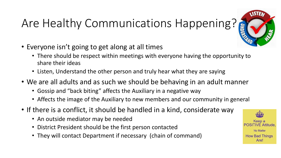# Are Healthy Communications Happening?



- Everyone isn't going to get along at all times
	- There should be respect within meetings with everyone having the opportunity to share their ideas
	- Listen, Understand the other person and truly hear what they are saying
- We are all adults and as such we should be behaving in an adult manner
	- Gossip and "back biting" affects the Auxiliary in a negative way
	- Affects the image of the Auxiliary to new members and our community in general
- If there is a conflict, it should be handled in a kind, considerate way
	- An outside mediator may be needed
	- District President should be the first person contacted
	- They will contact Department if necessary (chain of command)

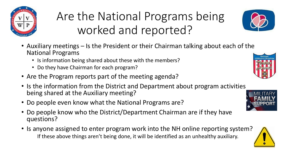

#### Are the National Programs being worked and reported?



- Auxiliary meetings Is the President or their Chairman talking about each of the National Programs
	- Is information being shared about these with the members?
	- Do they have Chairman for each program?
- Are the Program reports part of the meeting agenda?
- Is the information from the District and Department about program activities being shared at the Auxiliary meeting?
- Do people even know what the National Programs are?
- Do people know who the District/Department Chairman are if they have questions?
- Is anyone assigned to enter program work into the NH online reporting system? If these above things aren't being done, it will be identified as an unhealthy auxiliary.





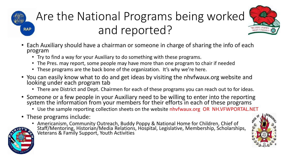

#### Are the National Programs being worked and reported?

- Each Auxiliary should have a chairman or someone in charge of sharing the info of each program
	- Try to find a way for your Auxiliary to do something with these programs.
	- The Pres. may report, some people may have more than one program to chair if needed
	- These programs are the back bone of the organization. It's why we're here.
- You can easily know what to do and get ideas by visiting the nhvfwaux.org website and looking under each program tab
	- There are District and Dept. Chairmen for each of these programs you can reach out to for ideas.
- Someone or a few people in your Auxiliary need to be willing to enter into the reporting system the information from your members for their efforts in each of these programs
	- Use the sample reporting collection sheets on the website nhvfwaux.org OR NH.VFWPORTAL.NET
- These programs include:
	- Americanism, Community Outreach, Buddy Poppy & National Home for Children, Chief of



**RAP** 

Staff/Mentoring, Historian/Media Relations, Hospital, Legislative, Membership, Scholarships, Veterans & Family Support, Youth Activities

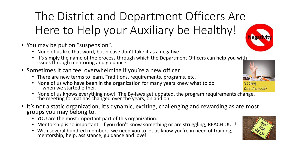#### The District and Department Officers Are Here to Help your Auxiliary be Healthy!

- You may be put on "suspension".
	- None of us like that word, but please don't take it as a negative.
	- It's simply the name of the process through which the Department Officers can help you with issues through mentoring and guidance.
- Sometimes it can feel overwhelming if you're a new officer.
	- There are new terms to learn, Traditions, requirements, programs, etc.
	- None of us who have been in the organization for many years knew what to do when we started either.
	- None of us knows everything now! The By-laws get updated, the program requirements change, the meeting format has changed over the years, on and on.
- It's not a static organization, it's dynamic, exciting, challenging and rewarding as are most groups you may belong to.
	- YOU are the most important part of this organization.
	- Mentorship is so important. If you don't know something or are struggling, REACH OUT!
	- With several hundred members, we need you to let us know you're in need of training, mentorship, help, assistance, guidance and love!